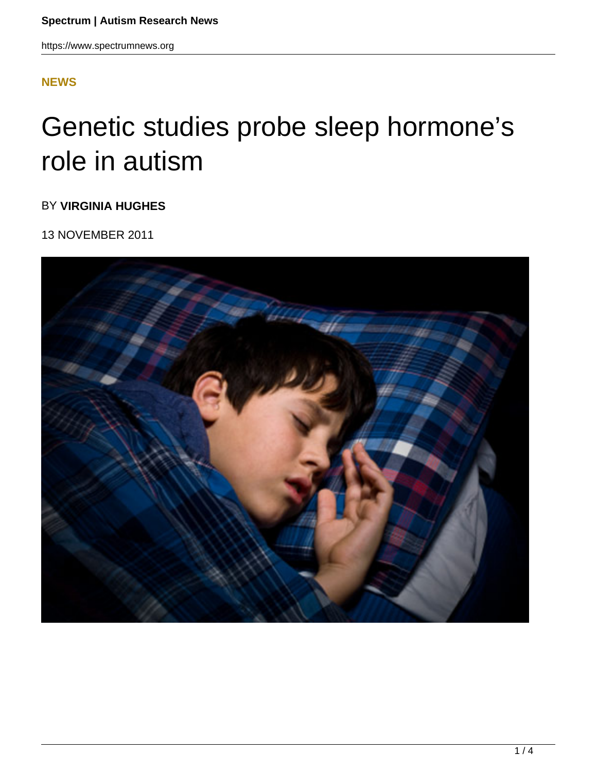### **[NEWS](HTTPS://WWW.SPECTRUMNEWS.ORG/NEWS/)**

# Genetic studies probe sleep hormone's role in autism

BY **VIRGINIA HUGHES**

13 NOVEMBER 2011

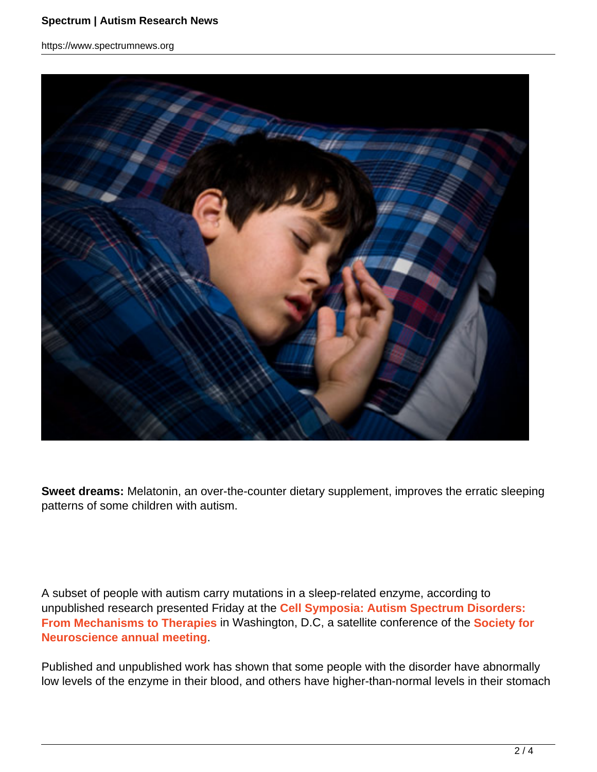#### **Spectrum | Autism Research News**

https://www.spectrumnews.org



**Sweet dreams:** Melatonin, an over-the-counter dietary supplement, improves the erratic sleeping patterns of some children with autism.

A subset of people with autism carry mutations in a sleep-related enzyme, according to unpublished research presented Friday at the **Cell Symposia: Autism Spectrum Disorders: From Mechanisms to Therapies** in Washington, D.C, a satellite conference of the **Society for Neuroscience annual meeting**.

Published and unpublished work has shown that some people with the disorder have abnormally low levels of the enzyme in their blood, and others have higher-than-normal levels in their stomach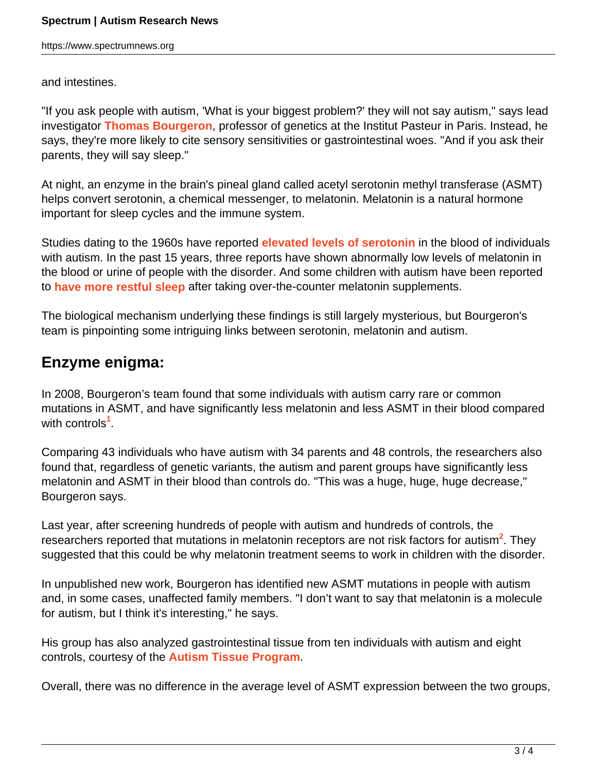https://www.spectrumnews.org

and intestines.

"If you ask people with autism, 'What is your biggest problem?' they will not say autism," says lead investigator **Thomas Bourgeron**, professor of genetics at the Institut Pasteur in Paris. Instead, he says, they're more likely to cite sensory sensitivities or gastrointestinal woes. "And if you ask their parents, they will say sleep."

At night, an enzyme in the brain's pineal gland called acetyl serotonin methyl transferase (ASMT) helps convert serotonin, a chemical messenger, to melatonin. Melatonin is a natural hormone important for sleep cycles and the immune system.

Studies dating to the 1960s have reported **elevated levels of serotonin** in the blood of individuals with autism. In the past 15 years, three reports have shown abnormally low levels of melatonin in the blood or urine of people with the disorder. And some children with autism have been reported to **have more restful sleep** after taking over-the-counter melatonin supplements.

The biological mechanism underlying these findings is still largely mysterious, but Bourgeron's team is pinpointing some intriguing links between serotonin, melatonin and autism.

## **Enzyme enigma:**

In 2008, Bourgeron's team found that some individuals with autism carry rare or common mutations in ASMT, and have significantly less melatonin and less ASMT in their blood compared with controls**<sup>1</sup>** .

Comparing 43 individuals who have autism with 34 parents and 48 controls, the researchers also found that, regardless of genetic variants, the autism and parent groups have significantly less melatonin and ASMT in their blood than controls do. "This was a huge, huge, huge decrease," Bourgeron says.

Last year, after screening hundreds of people with autism and hundreds of controls, the researchers reported that mutations in melatonin receptors are not risk factors for autism<sup>2</sup>. They suggested that this could be why melatonin treatment seems to work in children with the disorder.

In unpublished new work, Bourgeron has identified new ASMT mutations in people with autism and, in some cases, unaffected family members. "I don't want to say that melatonin is a molecule for autism, but I think it's interesting," he says.

His group has also analyzed gastrointestinal tissue from ten individuals with autism and eight controls, courtesy of the **Autism Tissue Program**.

Overall, there was no difference in the average level of ASMT expression between the two groups,